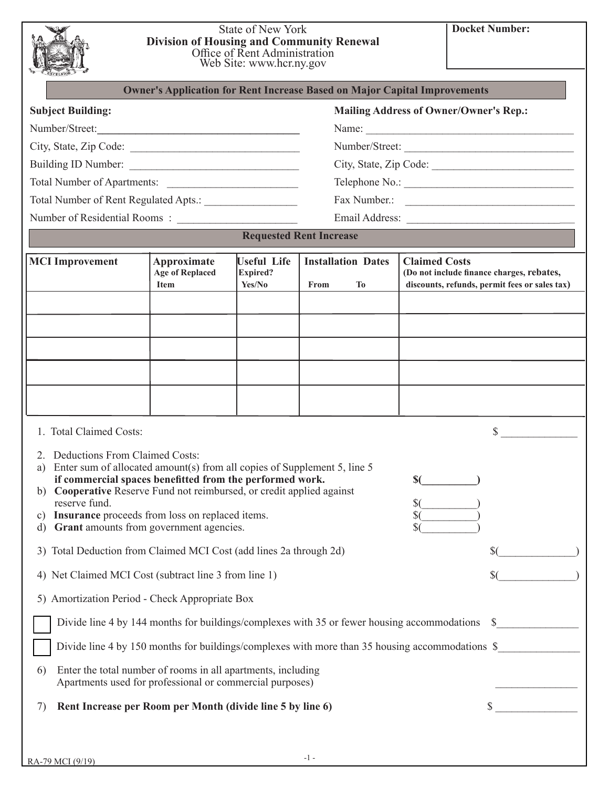|                                                                                                                                                                                                                                                                                                                                                                                                                                                                                                                                                                                                                                                                                                                                        | <b>Division of Housing and Community Renewal</b>                                 | <b>State of New York</b><br>Office of Rent Administration<br>Web Site: www.hcr.ny.gov |                                                |                      | <b>Docket Number:</b>                                                                           |
|----------------------------------------------------------------------------------------------------------------------------------------------------------------------------------------------------------------------------------------------------------------------------------------------------------------------------------------------------------------------------------------------------------------------------------------------------------------------------------------------------------------------------------------------------------------------------------------------------------------------------------------------------------------------------------------------------------------------------------------|----------------------------------------------------------------------------------|---------------------------------------------------------------------------------------|------------------------------------------------|----------------------|-------------------------------------------------------------------------------------------------|
|                                                                                                                                                                                                                                                                                                                                                                                                                                                                                                                                                                                                                                                                                                                                        | <b>Owner's Application for Rent Increase Based on Major Capital Improvements</b> |                                                                                       |                                                |                      |                                                                                                 |
| <b>Subject Building:</b>                                                                                                                                                                                                                                                                                                                                                                                                                                                                                                                                                                                                                                                                                                               |                                                                                  |                                                                                       |                                                |                      | <b>Mailing Address of Owner/Owner's Rep.:</b>                                                   |
| Number/Street:                                                                                                                                                                                                                                                                                                                                                                                                                                                                                                                                                                                                                                                                                                                         |                                                                                  |                                                                                       |                                                |                      | Name:                                                                                           |
| City, State, Zip Code:                                                                                                                                                                                                                                                                                                                                                                                                                                                                                                                                                                                                                                                                                                                 |                                                                                  |                                                                                       |                                                |                      |                                                                                                 |
| Building ID Number:                                                                                                                                                                                                                                                                                                                                                                                                                                                                                                                                                                                                                                                                                                                    |                                                                                  |                                                                                       |                                                |                      |                                                                                                 |
|                                                                                                                                                                                                                                                                                                                                                                                                                                                                                                                                                                                                                                                                                                                                        |                                                                                  |                                                                                       |                                                |                      |                                                                                                 |
|                                                                                                                                                                                                                                                                                                                                                                                                                                                                                                                                                                                                                                                                                                                                        |                                                                                  |                                                                                       |                                                |                      | Fax Number.:                                                                                    |
|                                                                                                                                                                                                                                                                                                                                                                                                                                                                                                                                                                                                                                                                                                                                        |                                                                                  |                                                                                       |                                                |                      |                                                                                                 |
|                                                                                                                                                                                                                                                                                                                                                                                                                                                                                                                                                                                                                                                                                                                                        |                                                                                  |                                                                                       | <b>Requested Rent Increase</b>                 |                      |                                                                                                 |
| <b>MCI</b> Improvement                                                                                                                                                                                                                                                                                                                                                                                                                                                                                                                                                                                                                                                                                                                 | Approximate<br>Age of Replaced<br><b>Item</b>                                    | <b>Useful Life</b><br><b>Expired?</b><br>Yes/No                                       | <b>Installation Dates</b><br>From<br><b>To</b> | <b>Claimed Costs</b> | (Do not include finance charges, rebates,<br>discounts, refunds, permit fees or sales tax)      |
|                                                                                                                                                                                                                                                                                                                                                                                                                                                                                                                                                                                                                                                                                                                                        |                                                                                  |                                                                                       |                                                |                      |                                                                                                 |
|                                                                                                                                                                                                                                                                                                                                                                                                                                                                                                                                                                                                                                                                                                                                        |                                                                                  |                                                                                       |                                                |                      |                                                                                                 |
|                                                                                                                                                                                                                                                                                                                                                                                                                                                                                                                                                                                                                                                                                                                                        |                                                                                  |                                                                                       |                                                |                      |                                                                                                 |
|                                                                                                                                                                                                                                                                                                                                                                                                                                                                                                                                                                                                                                                                                                                                        |                                                                                  |                                                                                       |                                                |                      |                                                                                                 |
|                                                                                                                                                                                                                                                                                                                                                                                                                                                                                                                                                                                                                                                                                                                                        |                                                                                  |                                                                                       |                                                |                      |                                                                                                 |
|                                                                                                                                                                                                                                                                                                                                                                                                                                                                                                                                                                                                                                                                                                                                        |                                                                                  |                                                                                       |                                                |                      |                                                                                                 |
| 1. Total Claimed Costs:                                                                                                                                                                                                                                                                                                                                                                                                                                                                                                                                                                                                                                                                                                                |                                                                                  |                                                                                       |                                                |                      | $\mathbb{S}^-$                                                                                  |
| 2. Deductions From Claimed Costs:<br>a) Enter sum of allocated amount(s) from all copies of Supplement 5, line 5<br>if commercial spaces benefitted from the performed work.<br>b) Cooperative Reserve Fund not reimbursed, or credit applied against<br>reserve fund.<br>c) Insurance proceeds from loss on replaced items.<br>Grant amounts from government agencies.<br>d)<br>3) Total Deduction from Claimed MCI Cost (add lines 2a through 2d)<br>4) Net Claimed MCI Cost (subtract line 3 from line 1)<br>5) Amortization Period - Check Appropriate Box<br>Divide line 4 by 144 months for buildings/complexes with 35 or fewer housing accommodations \$<br>Enter the total number of rooms in all apartments, including<br>6) |                                                                                  |                                                                                       |                                                | $\sqrt{$}$<br>\$(    | Divide line 4 by 150 months for buildings/complexes with more than 35 housing accommodations \$ |
| Apartments used for professional or commercial purposes)                                                                                                                                                                                                                                                                                                                                                                                                                                                                                                                                                                                                                                                                               |                                                                                  |                                                                                       |                                                |                      |                                                                                                 |
| Rent Increase per Room per Month (divide line 5 by line 6)<br>7)                                                                                                                                                                                                                                                                                                                                                                                                                                                                                                                                                                                                                                                                       |                                                                                  |                                                                                       |                                                |                      | \$                                                                                              |
|                                                                                                                                                                                                                                                                                                                                                                                                                                                                                                                                                                                                                                                                                                                                        |                                                                                  |                                                                                       |                                                |                      |                                                                                                 |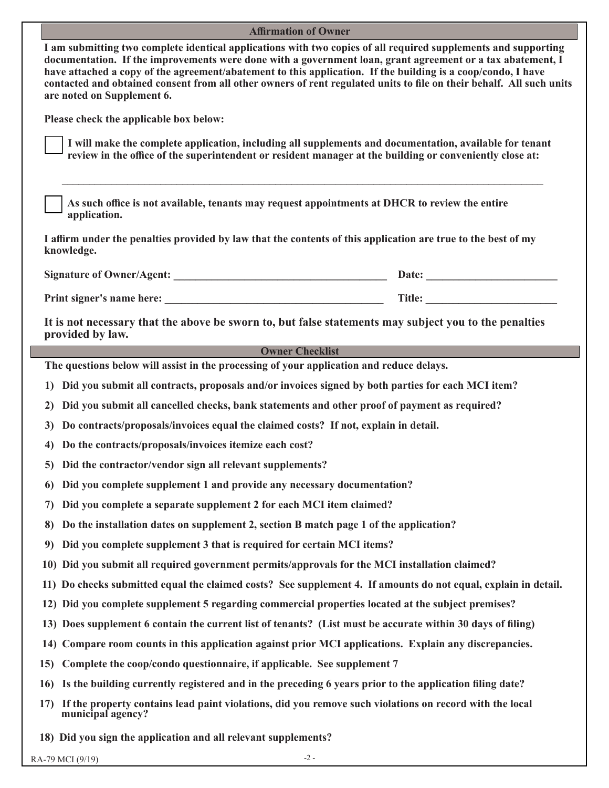| <b>Affirmation of Owner</b>                                                                                                                                                                                                                                                                                                                                                                                                                                                                        |  |
|----------------------------------------------------------------------------------------------------------------------------------------------------------------------------------------------------------------------------------------------------------------------------------------------------------------------------------------------------------------------------------------------------------------------------------------------------------------------------------------------------|--|
| I am submitting two complete identical applications with two copies of all required supplements and supporting<br>documentation. If the improvements were done with a government loan, grant agreement or a tax abatement, I<br>have attached a copy of the agreement/abatement to this application. If the building is a coop/condo, I have<br>contacted and obtained consent from all other owners of rent regulated units to file on their behalf. All such units<br>are noted on Supplement 6. |  |
| Please check the applicable box below:                                                                                                                                                                                                                                                                                                                                                                                                                                                             |  |
| I will make the complete application, including all supplements and documentation, available for tenant<br>review in the office of the superintendent or resident manager at the building or conveniently close at:                                                                                                                                                                                                                                                                                |  |
| As such office is not available, tenants may request appointments at DHCR to review the entire<br>application.                                                                                                                                                                                                                                                                                                                                                                                     |  |
| I affirm under the penalties provided by law that the contents of this application are true to the best of my<br>knowledge.                                                                                                                                                                                                                                                                                                                                                                        |  |
|                                                                                                                                                                                                                                                                                                                                                                                                                                                                                                    |  |
|                                                                                                                                                                                                                                                                                                                                                                                                                                                                                                    |  |
| It is not necessary that the above be sworn to, but false statements may subject you to the penalties<br>provided by law.                                                                                                                                                                                                                                                                                                                                                                          |  |
| <b>Owner Checklist</b>                                                                                                                                                                                                                                                                                                                                                                                                                                                                             |  |
| The questions below will assist in the processing of your application and reduce delays.                                                                                                                                                                                                                                                                                                                                                                                                           |  |
| Did you submit all contracts, proposals and/or invoices signed by both parties for each MCI item?<br>1)                                                                                                                                                                                                                                                                                                                                                                                            |  |
| Did you submit all cancelled checks, bank statements and other proof of payment as required?<br>2)                                                                                                                                                                                                                                                                                                                                                                                                 |  |
| Do contracts/proposals/invoices equal the claimed costs? If not, explain in detail.<br>3)                                                                                                                                                                                                                                                                                                                                                                                                          |  |
| Do the contracts/proposals/invoices itemize each cost?<br>4)                                                                                                                                                                                                                                                                                                                                                                                                                                       |  |
| 5) Did the contractor/vendor sign all relevant supplements?                                                                                                                                                                                                                                                                                                                                                                                                                                        |  |
| Did you complete supplement 1 and provide any necessary documentation?<br>6)                                                                                                                                                                                                                                                                                                                                                                                                                       |  |
| Did you complete a separate supplement 2 for each MCI item claimed?<br>7)                                                                                                                                                                                                                                                                                                                                                                                                                          |  |
| Do the installation dates on supplement 2, section B match page 1 of the application?<br>8)                                                                                                                                                                                                                                                                                                                                                                                                        |  |
| Did you complete supplement 3 that is required for certain MCI items?<br>9)                                                                                                                                                                                                                                                                                                                                                                                                                        |  |
| 10) Did you submit all required government permits/approvals for the MCI installation claimed?                                                                                                                                                                                                                                                                                                                                                                                                     |  |
| 11) Do checks submitted equal the claimed costs? See supplement 4. If amounts do not equal, explain in detail.                                                                                                                                                                                                                                                                                                                                                                                     |  |
| 12) Did you complete supplement 5 regarding commercial properties located at the subject premises?                                                                                                                                                                                                                                                                                                                                                                                                 |  |
| 13) Does supplement 6 contain the current list of tenants? (List must be accurate within 30 days of filing)                                                                                                                                                                                                                                                                                                                                                                                        |  |
| 14) Compare room counts in this application against prior MCI applications. Explain any discrepancies.                                                                                                                                                                                                                                                                                                                                                                                             |  |
| Complete the coop/condo questionnaire, if applicable. See supplement 7<br>15)                                                                                                                                                                                                                                                                                                                                                                                                                      |  |
| Is the building currently registered and in the preceding 6 years prior to the application filing date?<br>16)                                                                                                                                                                                                                                                                                                                                                                                     |  |
| If the property contains lead paint violations, did you remove such violations on record with the local<br>17)<br>municipal agency?                                                                                                                                                                                                                                                                                                                                                                |  |
| 18) Did you sign the application and all relevant supplements?                                                                                                                                                                                                                                                                                                                                                                                                                                     |  |

RA-79 MCI (9/19)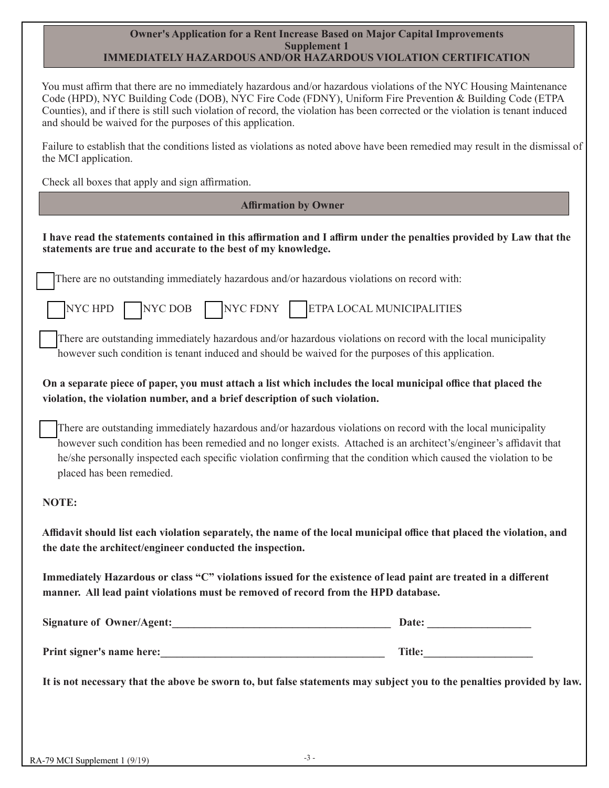#### **Owner's Application for a Rent Increase Based on Major Capital Improvements Supplement 1 IMMEDIATELY HAZARDOUS AND/OR HAZARDOUS VIOLATION CERTIFICATION**

 You must affirm that there are no immediately hazardous and/or hazardous violations of the NYC Housing Maintenance Code (HPD), NYC Building Code (DOB), NYC Fire Code (FDNY), Uniform Fire Prevention & Building Code (ETPA Counties), and if there is still such violation of record, the violation has been corrected or the violation is tenant induced and should be waived for the purposes of this application.

 Failure to establish that the conditions listed as violations as noted above have been remedied may result in the dismissal of the MCI application.

Check all boxes that apply and sign affirmation.

 **Affirmation by Owner** 

| THIII MAUVIL DY OWNER                                                                                                                                                                                                                                                                                                                                                                   |
|-----------------------------------------------------------------------------------------------------------------------------------------------------------------------------------------------------------------------------------------------------------------------------------------------------------------------------------------------------------------------------------------|
| I have read the statements contained in this affirmation and I affirm under the penalties provided by Law that the<br>statements are true and accurate to the best of my knowledge.                                                                                                                                                                                                     |
| There are no outstanding immediately hazardous and/or hazardous violations on record with:                                                                                                                                                                                                                                                                                              |
| NYCHPD NYCDOB NYCFDNY ETPA LOCAL MUNICIPALITIES                                                                                                                                                                                                                                                                                                                                         |
| There are outstanding immediately hazardous and/or hazardous violations on record with the local municipality<br>however such condition is tenant induced and should be waived for the purposes of this application.                                                                                                                                                                    |
| On a separate piece of paper, you must attach a list which includes the local municipal office that placed the<br>violation, the violation number, and a brief description of such violation.                                                                                                                                                                                           |
| There are outstanding immediately hazardous and/or hazardous violations on record with the local municipality<br>however such condition has been remedied and no longer exists. Attached is an architect's/engineer's affidavit that<br>he/she personally inspected each specific violation confirming that the condition which caused the violation to be<br>placed has been remedied. |
| NOTE:                                                                                                                                                                                                                                                                                                                                                                                   |
| Affidavit should list each violation separately, the name of the local municipal office that placed the violation, and<br>the date the architect/engineer conducted the inspection.                                                                                                                                                                                                     |
| Immediately Hazardous or class "C" violations issued for the existence of lead paint are treated in a different<br>manner. All lead paint violations must be removed of record from the HPD database.                                                                                                                                                                                   |
| <b>Signature of Owner/Agent:</b><br>Date:                                                                                                                                                                                                                                                                                                                                               |
| Print signer's name here:                                                                                                                                                                                                                                                                                                                                                               |
| It is not necessary that the above be sworn to, but false statements may subject you to the penalties provided by law.                                                                                                                                                                                                                                                                  |
|                                                                                                                                                                                                                                                                                                                                                                                         |
|                                                                                                                                                                                                                                                                                                                                                                                         |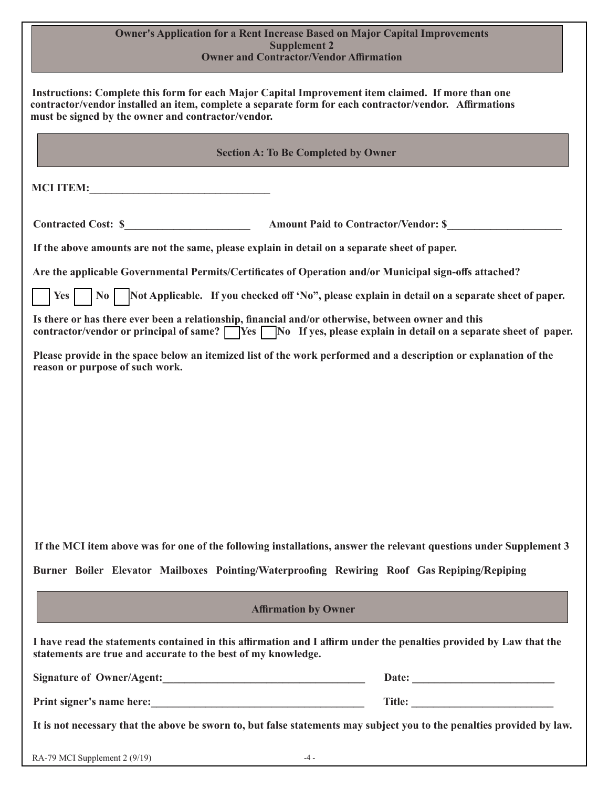### **Owner's Application for a Rent Increase Based on Major Capital Improvements Supplement 2 Owner and Contractor/Vendor Affirmation**

|                                                                                                    | <b>Section A: To Be Completed by Owner</b>                                                                                     |
|----------------------------------------------------------------------------------------------------|--------------------------------------------------------------------------------------------------------------------------------|
|                                                                                                    |                                                                                                                                |
|                                                                                                    |                                                                                                                                |
| If the above amounts are not the same, please explain in detail on a separate sheet of paper.      |                                                                                                                                |
|                                                                                                    | Are the applicable Governmental Permits/Certificates of Operation and/or Municipal sign-offs attached?                         |
|                                                                                                    | Yes $\vert$ $\vert$ No $\vert$ Not Applicable. If you checked off 'No", please explain in detail on a separate sheet of paper. |
| Is there or has there ever been a relationship, financial and/or otherwise, between owner and this | contractor/vendor or principal of same? $\Box$ Yes $\Box$ No If yes, please explain in detail on a separate sheet of paper.    |
| reason or purpose of such work.                                                                    | Please provide in the space below an itemized list of the work performed and a description or explanation of the               |
|                                                                                                    |                                                                                                                                |
|                                                                                                    |                                                                                                                                |
|                                                                                                    |                                                                                                                                |
|                                                                                                    |                                                                                                                                |
|                                                                                                    |                                                                                                                                |
|                                                                                                    |                                                                                                                                |
|                                                                                                    |                                                                                                                                |
|                                                                                                    | If the MCI item above was for one of the following installations, answer the relevant questions under Supplement 3             |
|                                                                                                    |                                                                                                                                |
| Burner Boiler Elevator Mailboxes Pointing/Waterproofing Rewiring Roof Gas Repiping/Repiping        |                                                                                                                                |
|                                                                                                    | <b>Affirmation by Owner</b>                                                                                                    |
| statements are true and accurate to the best of my knowledge.                                      | I have read the statements contained in this affirmation and I affirm under the penalties provided by Law that the             |
| Signature of Owner/Agent:<br><u> </u>                                                              |                                                                                                                                |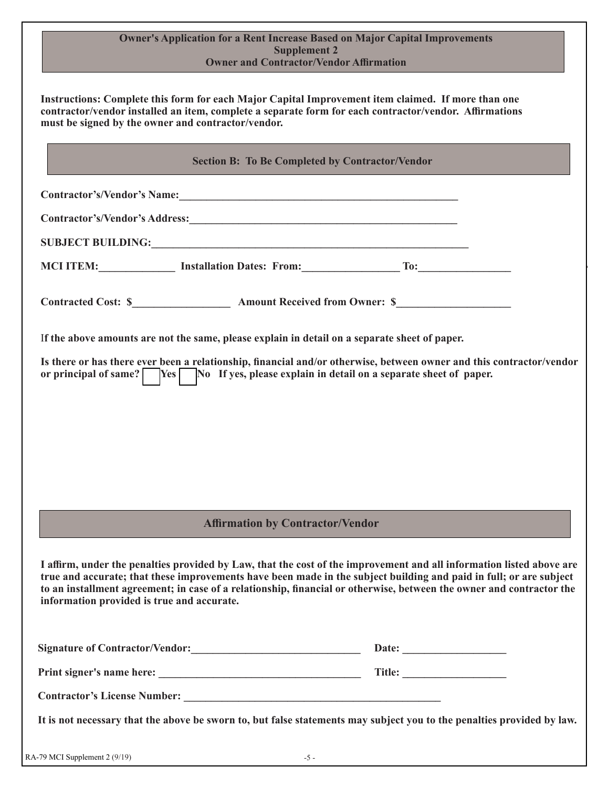| <b>Owner's Application for a Rent Increase Based on Major Capital Improvements</b> |
|------------------------------------------------------------------------------------|
| Supplement 2                                                                       |
| <b>Owner and Contractor/Vendor Affirmation</b>                                     |

 **Instructions: Complete this form for each Major Capital Improvement item claimed. If more than one contractor/vendor installed an item, complete a separate form for each contractor/vendor. Affirmations must be signed by the owner and contractor/vendor.** 

|                                            |                                                                                               | <b>Section B: To Be Completed by Contractor/Vendor</b>                                                               |
|--------------------------------------------|-----------------------------------------------------------------------------------------------|----------------------------------------------------------------------------------------------------------------------|
|                                            |                                                                                               |                                                                                                                      |
|                                            |                                                                                               |                                                                                                                      |
|                                            |                                                                                               |                                                                                                                      |
|                                            | MCI ITEM: Installation Dates: From: To: To:                                                   |                                                                                                                      |
|                                            |                                                                                               |                                                                                                                      |
|                                            | If the above amounts are not the same, please explain in detail on a separate sheet of paper. |                                                                                                                      |
|                                            | or principal of same? Yes No If yes, please explain in detail on a separate sheet of paper.   | Is there or has there ever been a relationship, financial and/or otherwise, between owner and this contractor/vendor |
|                                            |                                                                                               |                                                                                                                      |
|                                            |                                                                                               |                                                                                                                      |
|                                            |                                                                                               |                                                                                                                      |
|                                            |                                                                                               |                                                                                                                      |
|                                            |                                                                                               |                                                                                                                      |
|                                            |                                                                                               |                                                                                                                      |
|                                            |                                                                                               |                                                                                                                      |
|                                            | <b>Affirmation by Contractor/Vendor</b>                                                       |                                                                                                                      |
|                                            |                                                                                               |                                                                                                                      |
|                                            |                                                                                               | I affirm, under the penalties provided by Law, that the cost of the improvement and all information listed above are |
|                                            |                                                                                               | true and accurate; that these improvements have been made in the subject building and paid in full; or are subject   |
|                                            |                                                                                               | to an installment agreement; in case of a relationship, financial or otherwise, between the owner and contractor the |
| information provided is true and accurate. |                                                                                               |                                                                                                                      |
|                                            | Signature of Contractor/Vendor:                                                               |                                                                                                                      |
|                                            |                                                                                               |                                                                                                                      |
|                                            |                                                                                               |                                                                                                                      |

Г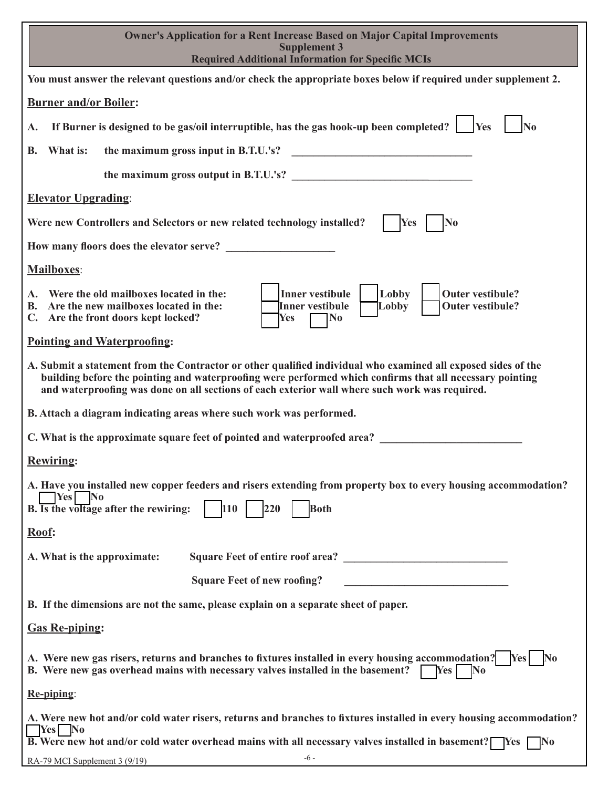| <b>Owner's Application for a Rent Increase Based on Major Capital Improvements</b><br><b>Supplement 3</b><br><b>Required Additional Information for Specific MCIs</b>                                                                                                                                                       |
|-----------------------------------------------------------------------------------------------------------------------------------------------------------------------------------------------------------------------------------------------------------------------------------------------------------------------------|
| You must answer the relevant questions and/or check the appropriate boxes below if required under supplement 2.                                                                                                                                                                                                             |
| <b>Burner and/or Boiler:</b>                                                                                                                                                                                                                                                                                                |
| If Burner is designed to be gas/oil interruptible, has the gas hook-up been completed?<br>$\overline{\text{No}}$<br>Yes<br>A.                                                                                                                                                                                               |
| What is:<br>the maximum gross input in B.T.U.'s?<br>В.                                                                                                                                                                                                                                                                      |
| the maximum gross output in B.T.U.'s?                                                                                                                                                                                                                                                                                       |
| <b>Elevator Upgrading:</b>                                                                                                                                                                                                                                                                                                  |
| Were new Controllers and Selectors or new related technology installed?<br>N <sub>0</sub><br>Yes                                                                                                                                                                                                                            |
|                                                                                                                                                                                                                                                                                                                             |
| Mailboxes:                                                                                                                                                                                                                                                                                                                  |
| <b>Inner vestibule</b><br>Lobby<br>Were the old mailboxes located in the:<br><b>Outer vestibule?</b><br>A.<br>Are the new mailboxes located in the:<br>Inner vestibule<br>Lobby<br>Outer vestibule?<br>В.<br>C. Are the front doors kept locked?<br>$\bf No$<br>Yes                                                         |
| <b>Pointing and Waterproofing:</b>                                                                                                                                                                                                                                                                                          |
| A. Submit a statement from the Contractor or other qualified individual who examined all exposed sides of the<br>building before the pointing and waterproofing were performed which confirms that all necessary pointing<br>and waterproofing was done on all sections of each exterior wall where such work was required. |
| B. Attach a diagram indicating areas where such work was performed.                                                                                                                                                                                                                                                         |
| C. What is the approximate square feet of pointed and waterproofed area?                                                                                                                                                                                                                                                    |
| <b>Rewiring:</b>                                                                                                                                                                                                                                                                                                            |
| A. Have you installed new copper feeders and risers extending from property box to every housing accommodation?<br>$Yes$ No<br>110<br>B. Is the voltage after the rewiring:<br>220<br><b>Both</b>                                                                                                                           |
| Roof:                                                                                                                                                                                                                                                                                                                       |
| A. What is the approximate:                                                                                                                                                                                                                                                                                                 |
| <b>Square Feet of new roofing?</b><br><u> 2002 - Jan Barbarat, manatar masjid a</u>                                                                                                                                                                                                                                         |
| B. If the dimensions are not the same, please explain on a separate sheet of paper.                                                                                                                                                                                                                                         |
| <b>Gas Re-piping:</b>                                                                                                                                                                                                                                                                                                       |
| A. Were new gas risers, returns and branches to fixtures installed in every housing accommodation? [Yes]<br>$\mathbf{N_0}$<br>B. Were new gas overhead mains with necessary valves installed in the basement?<br>No<br>$Yes \mid$                                                                                           |
| Re-piping:                                                                                                                                                                                                                                                                                                                  |
| A. Were new hot and/or cold water risers, returns and branches to fixtures installed in every housing accommodation?<br>$\sqrt{\frac{1}{1-\epsilon}}$ No<br><b>B.</b> Were new hot and/or cold water overhead mains with all necessary valves installed in basement? [Yes $\Box$ No                                         |
| $-6-$<br>RA-79 MCI Supplement 3 (9/19)                                                                                                                                                                                                                                                                                      |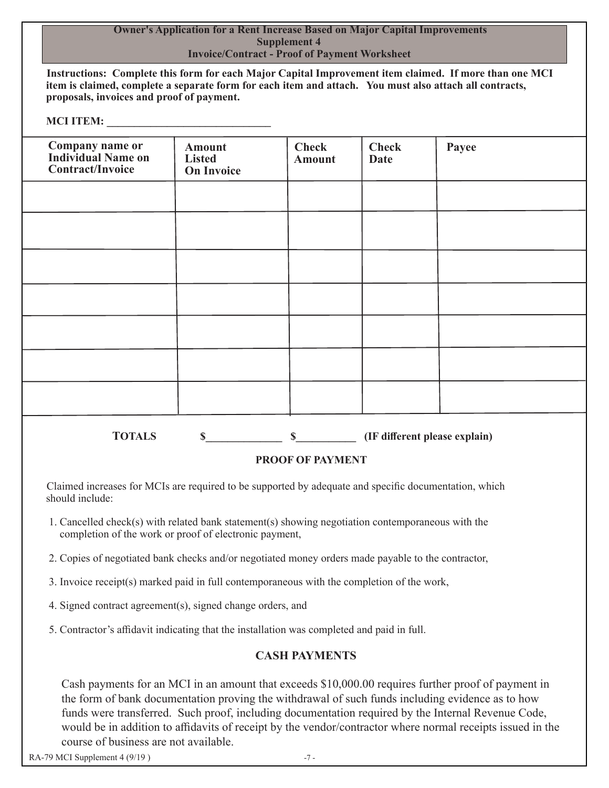### **Owner's Application for a Rent Increase Based on Major Capital Improvements Supplement 4 Invoice/Contract - Proof of Payment Worksheet**

 **Instructions: Complete this form for each Major Capital Improvement item claimed. If more than one MCI item is claimed, complete a separate form for each item and attach. You must also attach all contracts, proposals, invoices and proof of payment.** 

### **MCI ITEM:**

| <b>Company name or<br/>Individual Name on</b><br><b>Contract/Invoice</b> | <b>Amount</b><br><b>Listed</b><br><b>On Invoice</b> | <b>Check</b><br><b>Amount</b> | <b>Check</b><br><b>Date</b> | Payee                         |
|--------------------------------------------------------------------------|-----------------------------------------------------|-------------------------------|-----------------------------|-------------------------------|
|                                                                          |                                                     |                               |                             |                               |
|                                                                          |                                                     |                               |                             |                               |
|                                                                          |                                                     |                               |                             |                               |
|                                                                          |                                                     |                               |                             |                               |
|                                                                          |                                                     |                               |                             |                               |
|                                                                          |                                                     |                               |                             |                               |
|                                                                          |                                                     |                               |                             |                               |
| <b>TOTALS</b>                                                            | $\mathbf S$                                         | $\mathbf S$                   |                             | (IF different please explain) |

# **PROOF OF PAYMENT**

 Claimed increases for MCIs are required to be supported by adequate and specific documentation, which should include:

- 1. Cancelled check(s) with related bank statement(s) showing negotiation contemporaneous with the completion of the work or proof of electronic payment,
- 2. Copies of negotiated bank checks and/or negotiated money orders made payable to the contractor,
- 3. Invoice receipt(s) marked paid in full contemporaneous with the completion of the work,
- 4. Signed contract agreement(s), signed change orders, and
- 5. Contractor's affidavit indicating that the installation was completed and paid in full.

# **CASH PAYMENTS**

 Cash payments for an MCI in an amount that exceeds \$10,000.00 requires further proof of payment in the form of bank documentation proving the withdrawal of such funds including evidence as to how funds were transferred. Such proof, including documentation required by the Internal Revenue Code, would be in addition to affidavits of receipt by the vendor/contractor where normal receipts issued in the course of business are not available.

RA-79 MCI Supplement 4 (9/19 )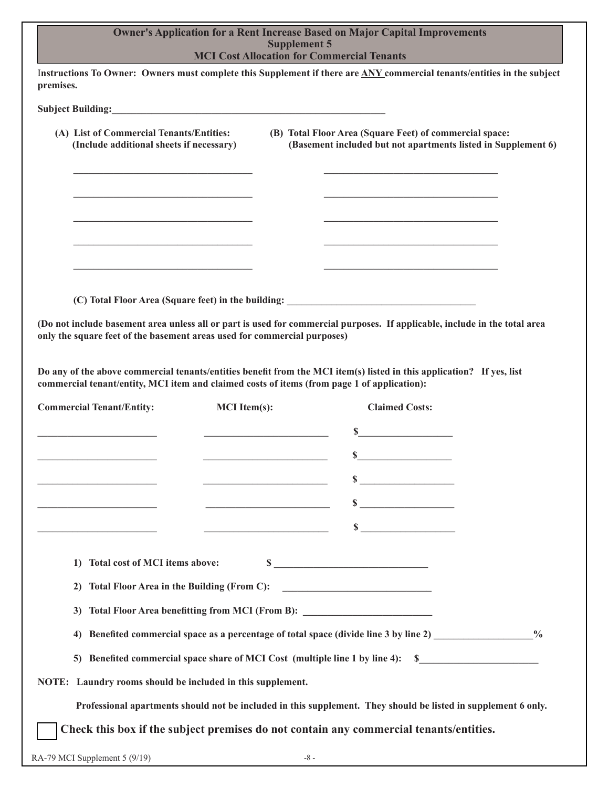| Instructions To Owner: Owners must complete this Supplement if there are ANY commercial tenants/entities in the subject                                                                                              |                     |                                                 | <b>MCI Cost Allocation for Commercial Tenants</b>                                |                                                                                                                |
|----------------------------------------------------------------------------------------------------------------------------------------------------------------------------------------------------------------------|---------------------|-------------------------------------------------|----------------------------------------------------------------------------------|----------------------------------------------------------------------------------------------------------------|
| premises.                                                                                                                                                                                                            |                     |                                                 |                                                                                  |                                                                                                                |
| Subject Building: No. 1996. The Subject Building:                                                                                                                                                                    |                     |                                                 |                                                                                  |                                                                                                                |
| (A) List of Commercial Tenants/Entities:<br>(Include additional sheets if necessary)                                                                                                                                 |                     |                                                 | (B) Total Floor Area (Square Feet) of commercial space:                          | (Basement included but not apartments listed in Supplement 6)                                                  |
|                                                                                                                                                                                                                      |                     |                                                 |                                                                                  |                                                                                                                |
|                                                                                                                                                                                                                      |                     |                                                 |                                                                                  |                                                                                                                |
|                                                                                                                                                                                                                      |                     |                                                 |                                                                                  |                                                                                                                |
|                                                                                                                                                                                                                      |                     |                                                 |                                                                                  |                                                                                                                |
|                                                                                                                                                                                                                      |                     |                                                 |                                                                                  |                                                                                                                |
|                                                                                                                                                                                                                      |                     |                                                 |                                                                                  |                                                                                                                |
| (Do not include basement area unless all or part is used for commercial purposes. If applicable, include in the total area<br>only the square feet of the basement areas used for commercial purposes)               |                     |                                                 |                                                                                  |                                                                                                                |
|                                                                                                                                                                                                                      |                     |                                                 |                                                                                  |                                                                                                                |
| Do any of the above commercial tenants/entities benefit from the MCI item(s) listed in this application? If yes, list<br>commercial tenant/entity, MCI item and claimed costs of items (from page 1 of application): |                     |                                                 |                                                                                  |                                                                                                                |
|                                                                                                                                                                                                                      |                     |                                                 |                                                                                  |                                                                                                                |
|                                                                                                                                                                                                                      | <b>MCI</b> Item(s): |                                                 | <b>Claimed Costs:</b>                                                            |                                                                                                                |
|                                                                                                                                                                                                                      |                     | <u> 1989 - Johann Barbara, martxa a</u>         |                                                                                  |                                                                                                                |
|                                                                                                                                                                                                                      |                     |                                                 | S                                                                                |                                                                                                                |
|                                                                                                                                                                                                                      |                     |                                                 | S                                                                                |                                                                                                                |
| <b>Commercial Tenant/Entity:</b><br><u> 1989 - Johann Barn, mars ann an t-</u>                                                                                                                                       |                     | <u> 1989 - Johann Barn, mars ar breis an t-</u> |                                                                                  |                                                                                                                |
|                                                                                                                                                                                                                      |                     |                                                 | $\sim$                                                                           |                                                                                                                |
| Total cost of MCI items above:<br>1)                                                                                                                                                                                 |                     |                                                 |                                                                                  |                                                                                                                |
| 2)                                                                                                                                                                                                                   |                     |                                                 |                                                                                  |                                                                                                                |
| 3)                                                                                                                                                                                                                   |                     |                                                 | Total Floor Area benefitting from MCI (From B): ________________________________ |                                                                                                                |
| 4)                                                                                                                                                                                                                   |                     |                                                 |                                                                                  | Benefited commercial space as a percentage of total space (divide line 3 by line 2) ________________ %         |
|                                                                                                                                                                                                                      |                     |                                                 | 5) Benefited commercial space share of MCI Cost (multiple line 1 by line 4): \$  |                                                                                                                |
| NOTE: Laundry rooms should be included in this supplement.                                                                                                                                                           |                     |                                                 |                                                                                  | Professional apartments should not be included in this supplement. They should be listed in supplement 6 only. |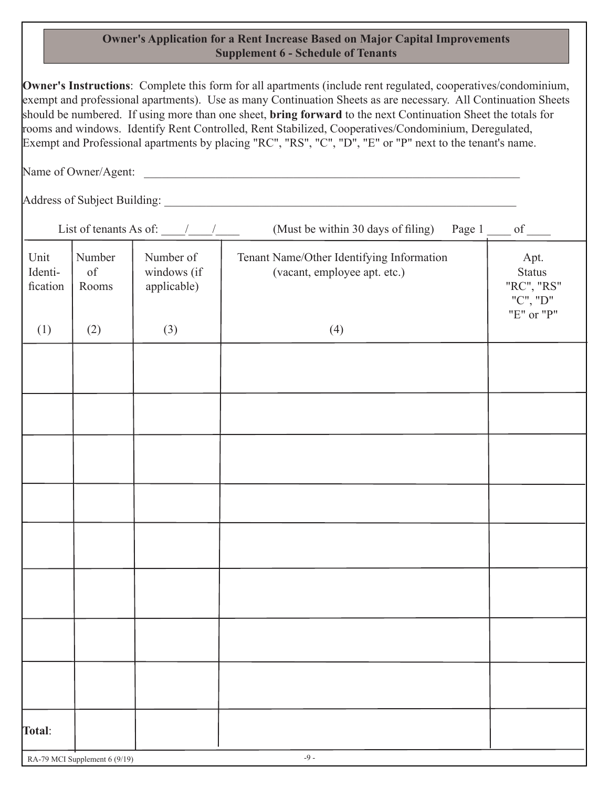## **Owner's Application for a Rent Increase Based on Major Capital Improvements Supplement 6 - Schedule of Tenants**

**Owner's Instructions**: Complete this form for all apartments (include rent regulated, cooperatives/condominium, exempt and professional apartments). Use as many Continuation Sheets as are necessary. All Continuation Sheets should be numbered. If using more than one sheet, **bring forward** to the next Continuation Sheet the totals for rooms and windows. Identify Rent Controlled, Rent Stabilized, Cooperatives/Condominium, Deregulated, Exempt and Professional apartments by placing "RC", "RS", "C", "D", "E" or "P" next to the tenant's name.

Name of Owner/Agent:

Address of Subject Building: \_\_\_\_\_\_\_\_\_\_\_\_\_\_\_\_\_\_\_\_\_\_\_\_\_\_\_\_\_\_\_\_\_\_\_\_\_\_\_\_\_\_\_\_\_\_\_\_\_\_\_\_\_\_\_\_\_\_\_

List of tenants As of:  $\qquad$  /  $\qquad$  (Must be within 30 days of filing) Page 1 of

| Unit<br>Identi-<br>fication | Number<br>$% \left( \left( \mathcal{A},\mathcal{A}\right) \right) =\left( \mathcal{A},\mathcal{A}\right)$ of<br>Rooms | Number of<br>windows (if<br>applicable) | Tenant Name/Other Identifying Information<br>(vacant, employee apt. etc.) | Apt.<br><b>Status</b><br>"RC", "RS"<br>"C", "D"<br>"E" or "P" |
|-----------------------------|-----------------------------------------------------------------------------------------------------------------------|-----------------------------------------|---------------------------------------------------------------------------|---------------------------------------------------------------|
| (1)                         | (2)                                                                                                                   | (3)                                     | (4)                                                                       |                                                               |
|                             |                                                                                                                       |                                         |                                                                           |                                                               |
|                             |                                                                                                                       |                                         |                                                                           |                                                               |
|                             |                                                                                                                       |                                         |                                                                           |                                                               |
|                             |                                                                                                                       |                                         |                                                                           |                                                               |
|                             |                                                                                                                       |                                         |                                                                           |                                                               |
|                             |                                                                                                                       |                                         |                                                                           |                                                               |
|                             |                                                                                                                       |                                         |                                                                           |                                                               |
|                             |                                                                                                                       |                                         |                                                                           |                                                               |
|                             |                                                                                                                       |                                         |                                                                           |                                                               |
|                             |                                                                                                                       |                                         |                                                                           |                                                               |
|                             |                                                                                                                       |                                         |                                                                           |                                                               |
|                             |                                                                                                                       |                                         |                                                                           |                                                               |
|                             |                                                                                                                       |                                         |                                                                           |                                                               |
|                             |                                                                                                                       |                                         |                                                                           |                                                               |
|                             |                                                                                                                       |                                         |                                                                           |                                                               |
|                             |                                                                                                                       |                                         |                                                                           |                                                               |
| Total:                      |                                                                                                                       |                                         |                                                                           |                                                               |
|                             | RA-79 MCI Supplement 6 (9/19)                                                                                         |                                         | $\textnormal{-}9$ -                                                       |                                                               |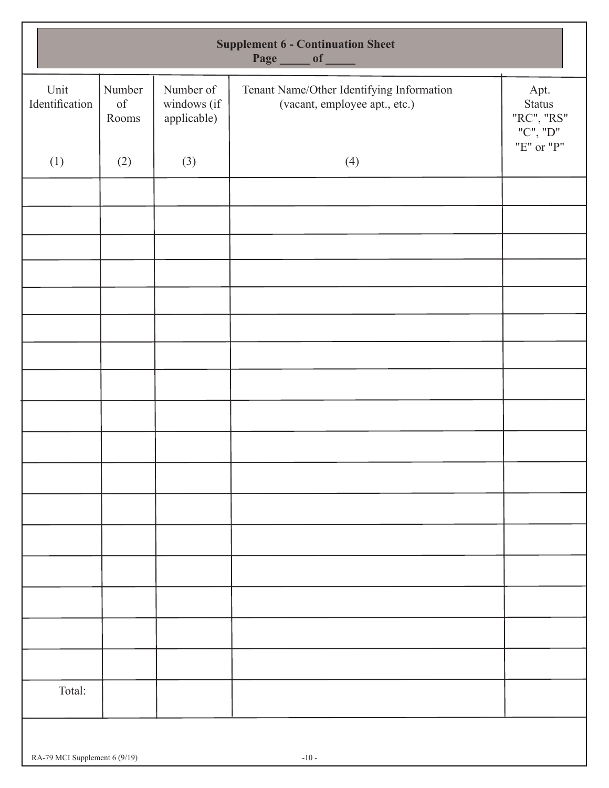|                        | <b>Supplement 6 - Continuation Sheet</b><br>Page ____ of ____                                                         |                                         |                                                                            |                                                 |  |  |  |
|------------------------|-----------------------------------------------------------------------------------------------------------------------|-----------------------------------------|----------------------------------------------------------------------------|-------------------------------------------------|--|--|--|
| Unit<br>Identification | Number<br>$% \left( \left( \mathcal{A},\mathcal{A}\right) \right) =\left( \mathcal{A},\mathcal{A}\right)$ of<br>Rooms | Number of<br>windows (if<br>applicable) | Tenant Name/Other Identifying Information<br>(vacant, employee apt., etc.) | Apt.<br><b>Status</b><br>"RC", "RS"<br>"C", "D" |  |  |  |
| (1)                    | (2)                                                                                                                   | (3)                                     | (4)                                                                        | "E" or "P"                                      |  |  |  |
|                        |                                                                                                                       |                                         |                                                                            |                                                 |  |  |  |
|                        |                                                                                                                       |                                         |                                                                            |                                                 |  |  |  |
|                        |                                                                                                                       |                                         |                                                                            |                                                 |  |  |  |
|                        |                                                                                                                       |                                         |                                                                            |                                                 |  |  |  |
|                        |                                                                                                                       |                                         |                                                                            |                                                 |  |  |  |
|                        |                                                                                                                       |                                         |                                                                            |                                                 |  |  |  |
|                        |                                                                                                                       |                                         |                                                                            |                                                 |  |  |  |
|                        |                                                                                                                       |                                         |                                                                            |                                                 |  |  |  |
|                        |                                                                                                                       |                                         |                                                                            |                                                 |  |  |  |
|                        |                                                                                                                       |                                         |                                                                            |                                                 |  |  |  |
|                        |                                                                                                                       |                                         |                                                                            |                                                 |  |  |  |
|                        |                                                                                                                       |                                         |                                                                            |                                                 |  |  |  |
|                        |                                                                                                                       |                                         |                                                                            |                                                 |  |  |  |
|                        |                                                                                                                       |                                         |                                                                            |                                                 |  |  |  |
|                        |                                                                                                                       |                                         |                                                                            |                                                 |  |  |  |
| Total:                 |                                                                                                                       |                                         |                                                                            |                                                 |  |  |  |
|                        |                                                                                                                       |                                         |                                                                            |                                                 |  |  |  |